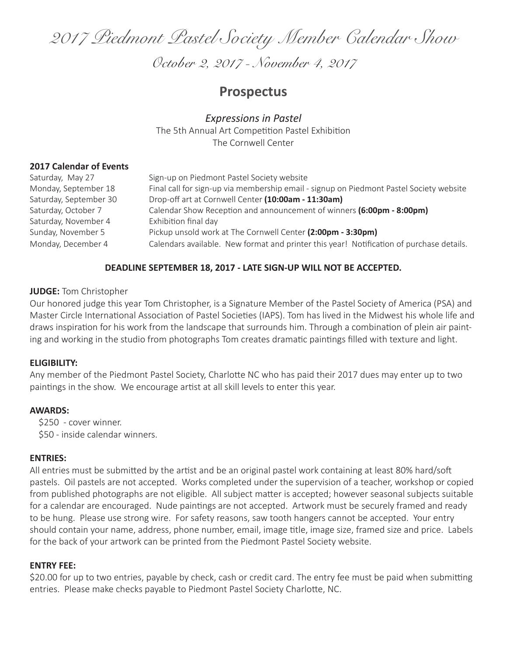*2017 Piedmont Pastel Society Member Calendar Show* 

*October 2, 2017 - November 4, 2017* 

# **Prospectus**

*Expressions in Pastel* The 5th Annual Art Competition Pastel Exhibition The Cornwell Center

#### **2017 Calendar of Events**

| Saturday, May 27       | Sign-up on Piedmont Pastel Society website                                               |
|------------------------|------------------------------------------------------------------------------------------|
| Monday, September 18   | Final call for sign-up via membership email - signup on Piedmont Pastel Society website  |
| Saturday, September 30 | Drop-off art at Cornwell Center (10:00am - 11:30am)                                      |
| Saturday, October 7    | Calendar Show Reception and announcement of winners (6:00pm - 8:00pm)                    |
| Saturday, November 4   | Exhibition final day                                                                     |
| Sunday, November 5     | Pickup unsold work at The Cornwell Center (2:00pm - 3:30pm)                              |
| Monday, December 4     | Calendars available. New format and printer this year! Notification of purchase details. |

## **DEADLINE SEPTEMBER 18, 2017 - LATE SIGN-UP WILL NOT BE ACCEPTED.**

#### **JUDGE:** Tom Christopher

Our honored judge this year Tom Christopher, is a Signature Member of the Pastel Society of America (PSA) and Master Circle International Association of Pastel Societies (IAPS). Tom has lived in the Midwest his whole life and draws inspiration for his work from the landscape that surrounds him. Through a combination of plein air painting and working in the studio from photographs Tom creates dramatic paintings filled with texture and light.

#### **ELIGIBILITY:**

Any member of the Piedmont Pastel Society, Charlotte NC who has paid their 2017 dues may enter up to two paintings in the show. We encourage artist at all skill levels to enter this year.

#### **AWARDS:**

 \$250 - cover winner. \$50 - inside calendar winners.

#### **ENTRIES:**

All entries must be submitted by the artist and be an original pastel work containing at least 80% hard/soft pastels. Oil pastels are not accepted. Works completed under the supervision of a teacher, workshop or copied from published photographs are not eligible. All subject matter is accepted; however seasonal subjects suitable for a calendar are encouraged. Nude paintings are not accepted. Artwork must be securely framed and ready to be hung. Please use strong wire. For safety reasons, saw tooth hangers cannot be accepted. Your entry should contain your name, address, phone number, email, image title, image size, framed size and price. Labels for the back of your artwork can be printed from the Piedmont Pastel Society website.

## **ENTRY FEE:**

\$20.00 for up to two entries, payable by check, cash or credit card. The entry fee must be paid when submitting entries. Please make checks payable to Piedmont Pastel Society Charlotte, NC.